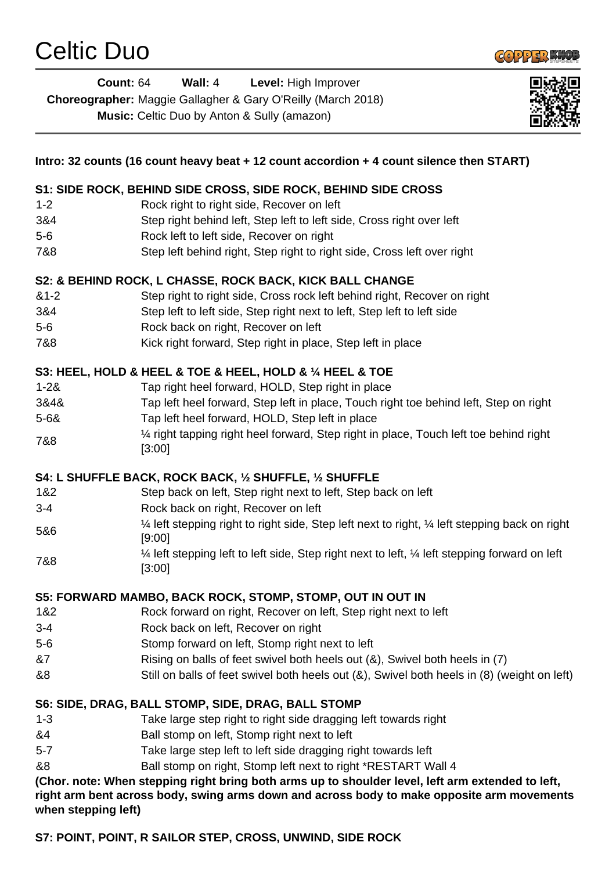

**Count:** 64 **Wall:** 4 **Level:** High Improver **Choreographer:** Maggie Gallagher & Gary O'Reilly (March 2018) **Music:** Celtic Duo by Anton & Sully (amazon)



| Intro: 32 counts (16 count heavy beat + 12 count accordion + 4 count silence then START)                                                                                                                               |                                                                                                           |
|------------------------------------------------------------------------------------------------------------------------------------------------------------------------------------------------------------------------|-----------------------------------------------------------------------------------------------------------|
|                                                                                                                                                                                                                        | S1: SIDE ROCK, BEHIND SIDE CROSS, SIDE ROCK, BEHIND SIDE CROSS                                            |
| $1 - 2$                                                                                                                                                                                                                | Rock right to right side, Recover on left                                                                 |
| 3&4                                                                                                                                                                                                                    | Step right behind left, Step left to left side, Cross right over left                                     |
| $5-6$                                                                                                                                                                                                                  | Rock left to left side, Recover on right                                                                  |
| 7&8                                                                                                                                                                                                                    | Step left behind right, Step right to right side, Cross left over right                                   |
| S2: & BEHIND ROCK, L CHASSE, ROCK BACK, KICK BALL CHANGE                                                                                                                                                               |                                                                                                           |
| $&1-2$                                                                                                                                                                                                                 | Step right to right side, Cross rock left behind right, Recover on right                                  |
| 3&4                                                                                                                                                                                                                    | Step left to left side, Step right next to left, Step left to left side                                   |
| $5-6$                                                                                                                                                                                                                  | Rock back on right, Recover on left                                                                       |
| 7&8                                                                                                                                                                                                                    | Kick right forward, Step right in place, Step left in place                                               |
| S3: HEEL, HOLD & HEEL & TOE & HEEL, HOLD & 1/4 HEEL & TOE                                                                                                                                                              |                                                                                                           |
| $1 - 28$                                                                                                                                                                                                               | Tap right heel forward, HOLD, Step right in place                                                         |
| 3&4&                                                                                                                                                                                                                   | Tap left heel forward, Step left in place, Touch right toe behind left, Step on right                     |
| $5 - 68$                                                                                                                                                                                                               | Tap left heel forward, HOLD, Step left in place                                                           |
| 7&8                                                                                                                                                                                                                    | 1/4 right tapping right heel forward, Step right in place, Touch left toe behind right<br>[3:00]          |
| S4: L SHUFFLE BACK, ROCK BACK, 1/2 SHUFFLE, 1/2 SHUFFLE                                                                                                                                                                |                                                                                                           |
| 1&2                                                                                                                                                                                                                    | Step back on left, Step right next to left, Step back on left                                             |
| $3 - 4$                                                                                                                                                                                                                | Rock back on right, Recover on left                                                                       |
|                                                                                                                                                                                                                        | 1⁄4 left stepping right to right side, Step left next to right, 1⁄4 left stepping back on right           |
| 5&6                                                                                                                                                                                                                    | [9:00]                                                                                                    |
| 7&8                                                                                                                                                                                                                    | 1⁄4 left stepping left to left side, Step right next to left, 1⁄4 left stepping forward on left<br>[3:00] |
| S5: FORWARD MAMBO, BACK ROCK, STOMP, STOMP, OUT IN OUT IN                                                                                                                                                              |                                                                                                           |
| 1&2                                                                                                                                                                                                                    | Rock forward on right, Recover on left, Step right next to left                                           |
| $3 - 4$                                                                                                                                                                                                                | Rock back on left, Recover on right                                                                       |
| $5-6$                                                                                                                                                                                                                  | Stomp forward on left, Stomp right next to left                                                           |
| &7                                                                                                                                                                                                                     | Rising on balls of feet swivel both heels out (&), Swivel both heels in (7)                               |
| &8                                                                                                                                                                                                                     | Still on balls of feet swivel both heels out (&), Swivel both heels in (8) (weight on left)               |
| S6: SIDE, DRAG, BALL STOMP, SIDE, DRAG, BALL STOMP                                                                                                                                                                     |                                                                                                           |
| $1 - 3$                                                                                                                                                                                                                | Take large step right to right side dragging left towards right                                           |
| &4                                                                                                                                                                                                                     | Ball stomp on left, Stomp right next to left                                                              |
| $5 - 7$                                                                                                                                                                                                                | Take large step left to left side dragging right towards left                                             |
| &8                                                                                                                                                                                                                     | Ball stomp on right, Stomp left next to right *RESTART Wall 4                                             |
| (Chor. note: When stepping right bring both arms up to shoulder level, left arm extended to left,<br>right arm bent across body, swing arms down and across body to make opposite arm movements<br>when stepping left) |                                                                                                           |
| S7: POINT, POINT, R SAILOR STEP, CROSS, UNWIND, SIDE ROCK                                                                                                                                                              |                                                                                                           |